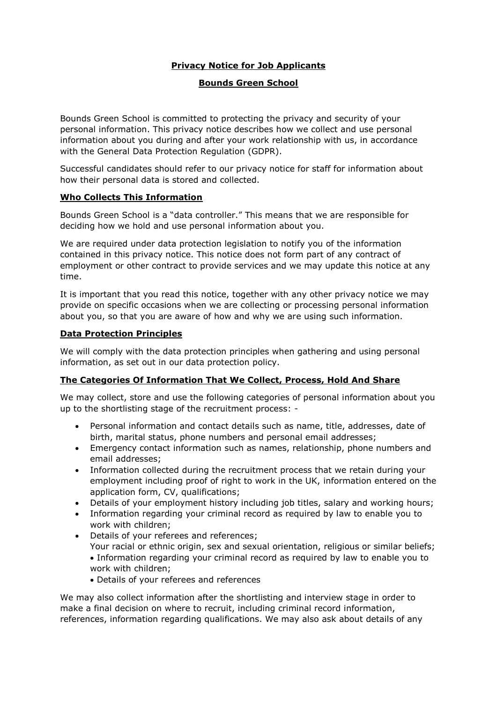# **Privacy Notice for Job Applicants**

## **Bounds Green School**

Bounds Green School is committed to protecting the privacy and security of your personal information. This privacy notice describes how we collect and use personal information about you during and after your work relationship with us, in accordance with the General Data Protection Regulation (GDPR).

Successful candidates should refer to our privacy notice for staff for information about how their personal data is stored and collected.

## **Who Collects This Information**

Bounds Green School is a "data controller." This means that we are responsible for deciding how we hold and use personal information about you.

We are required under data protection legislation to notify you of the information contained in this privacy notice. This notice does not form part of any contract of employment or other contract to provide services and we may update this notice at any time.

It is important that you read this notice, together with any other privacy notice we may provide on specific occasions when we are collecting or processing personal information about you, so that you are aware of how and why we are using such information.

## **Data Protection Principles**

We will comply with the data protection principles when gathering and using personal information, as set out in our data protection policy.

### **The Categories Of Information That We Collect, Process, Hold And Share**

We may collect, store and use the following categories of personal information about you up to the shortlisting stage of the recruitment process: -

- Personal information and contact details such as name, title, addresses, date of birth, marital status, phone numbers and personal email addresses;
- Emergency contact information such as names, relationship, phone numbers and email addresses;
- Information collected during the recruitment process that we retain during your employment including proof of right to work in the UK, information entered on the application form, CV, qualifications;
- Details of your employment history including job titles, salary and working hours;
- Information regarding your criminal record as required by law to enable you to work with children;
- Details of your referees and references; Your racial or ethnic origin, sex and sexual orientation, religious or similar beliefs; Information regarding your criminal record as required by law to enable you to work with children;
	- Details of your referees and references

We may also collect information after the shortlisting and interview stage in order to make a final decision on where to recruit, including criminal record information, references, information regarding qualifications. We may also ask about details of any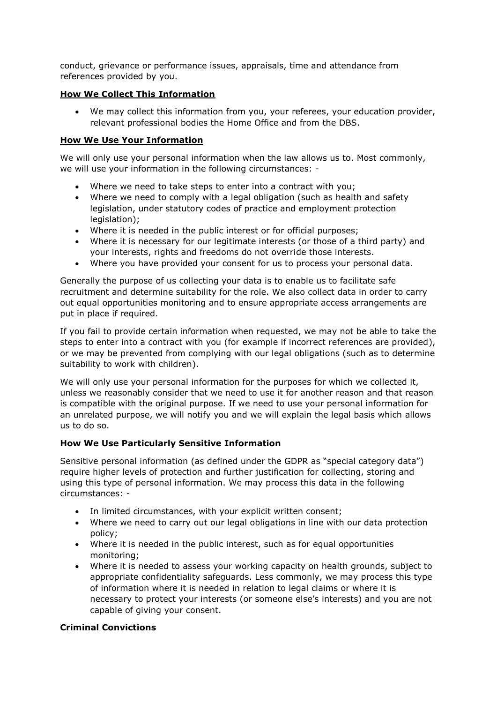conduct, grievance or performance issues, appraisals, time and attendance from references provided by you.

## **How We Collect This Information**

 We may collect this information from you, your referees, your education provider, relevant professional bodies the Home Office and from the DBS.

## **How We Use Your Information**

We will only use your personal information when the law allows us to. Most commonly, we will use your information in the following circumstances: -

- Where we need to take steps to enter into a contract with you;
- Where we need to comply with a legal obligation (such as health and safety legislation, under statutory codes of practice and employment protection legislation);
- Where it is needed in the public interest or for official purposes;
- Where it is necessary for our legitimate interests (or those of a third party) and your interests, rights and freedoms do not override those interests.
- Where you have provided your consent for us to process your personal data.

Generally the purpose of us collecting your data is to enable us to facilitate safe recruitment and determine suitability for the role. We also collect data in order to carry out equal opportunities monitoring and to ensure appropriate access arrangements are put in place if required.

If you fail to provide certain information when requested, we may not be able to take the steps to enter into a contract with you (for example if incorrect references are provided), or we may be prevented from complying with our legal obligations (such as to determine suitability to work with children).

We will only use your personal information for the purposes for which we collected it, unless we reasonably consider that we need to use it for another reason and that reason is compatible with the original purpose. If we need to use your personal information for an unrelated purpose, we will notify you and we will explain the legal basis which allows us to do so.

## **How We Use Particularly Sensitive Information**

Sensitive personal information (as defined under the GDPR as "special category data") require higher levels of protection and further justification for collecting, storing and using this type of personal information. We may process this data in the following circumstances: -

- In limited circumstances, with your explicit written consent;
- Where we need to carry out our legal obligations in line with our data protection policy;
- Where it is needed in the public interest, such as for equal opportunities monitoring;
- Where it is needed to assess your working capacity on health grounds, subject to appropriate confidentiality safeguards. Less commonly, we may process this type of information where it is needed in relation to legal claims or where it is necessary to protect your interests (or someone else's interests) and you are not capable of giving your consent.

# **Criminal Convictions**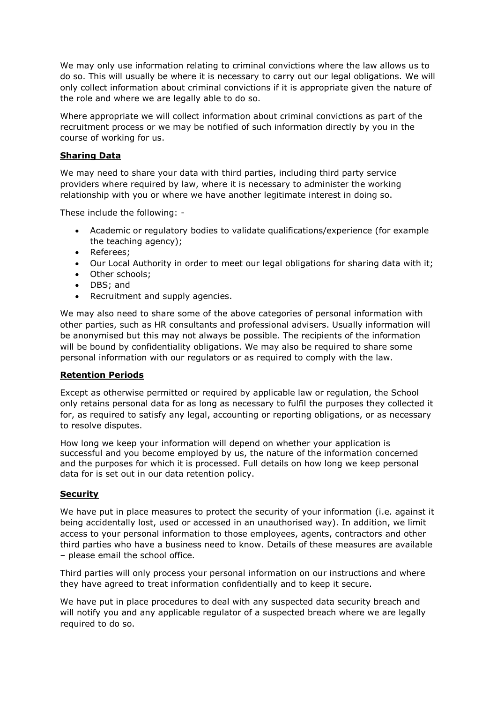We may only use information relating to criminal convictions where the law allows us to do so. This will usually be where it is necessary to carry out our legal obligations. We will only collect information about criminal convictions if it is appropriate given the nature of the role and where we are legally able to do so.

Where appropriate we will collect information about criminal convictions as part of the recruitment process or we may be notified of such information directly by you in the course of working for us.

## **Sharing Data**

We may need to share your data with third parties, including third party service providers where required by law, where it is necessary to administer the working relationship with you or where we have another legitimate interest in doing so.

These include the following: -

- Academic or regulatory bodies to validate qualifications/experience (for example the teaching agency);
- Referees;
- Our Local Authority in order to meet our legal obligations for sharing data with it;
- Other schools:
- DBS; and
- Recruitment and supply agencies.

We may also need to share some of the above categories of personal information with other parties, such as HR consultants and professional advisers. Usually information will be anonymised but this may not always be possible. The recipients of the information will be bound by confidentiality obligations. We may also be required to share some personal information with our regulators or as required to comply with the law.

### **Retention Periods**

Except as otherwise permitted or required by applicable law or regulation, the School only retains personal data for as long as necessary to fulfil the purposes they collected it for, as required to satisfy any legal, accounting or reporting obligations, or as necessary to resolve disputes.

How long we keep your information will depend on whether your application is successful and you become employed by us, the nature of the information concerned and the purposes for which it is processed. Full details on how long we keep personal data for is set out in our data retention policy.

### **Security**

We have put in place measures to protect the security of your information (i.e. against it being accidentally lost, used or accessed in an unauthorised way). In addition, we limit access to your personal information to those employees, agents, contractors and other third parties who have a business need to know. Details of these measures are available – please email the school office.

Third parties will only process your personal information on our instructions and where they have agreed to treat information confidentially and to keep it secure.

We have put in place procedures to deal with any suspected data security breach and will notify you and any applicable regulator of a suspected breach where we are legally required to do so.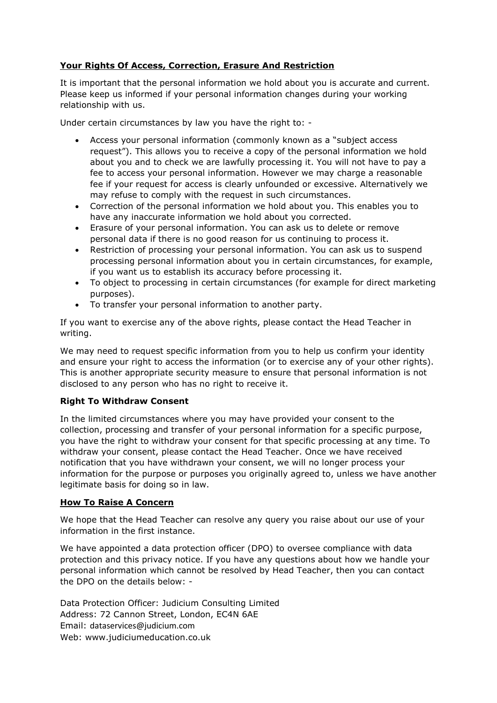# **Your Rights Of Access, Correction, Erasure And Restriction**

It is important that the personal information we hold about you is accurate and current. Please keep us informed if your personal information changes during your working relationship with us.

Under certain circumstances by law you have the right to: -

- Access your personal information (commonly known as a "subject access request"). This allows you to receive a copy of the personal information we hold about you and to check we are lawfully processing it. You will not have to pay a fee to access your personal information. However we may charge a reasonable fee if your request for access is clearly unfounded or excessive. Alternatively we may refuse to comply with the request in such circumstances.
- Correction of the personal information we hold about you. This enables you to have any inaccurate information we hold about you corrected.
- Erasure of your personal information. You can ask us to delete or remove personal data if there is no good reason for us continuing to process it.
- Restriction of processing your personal information. You can ask us to suspend processing personal information about you in certain circumstances, for example, if you want us to establish its accuracy before processing it.
- To object to processing in certain circumstances (for example for direct marketing purposes).
- To transfer your personal information to another party.

If you want to exercise any of the above rights, please contact the Head Teacher in writing.

We may need to request specific information from you to help us confirm your identity and ensure your right to access the information (or to exercise any of your other rights). This is another appropriate security measure to ensure that personal information is not disclosed to any person who has no right to receive it.

## **Right To Withdraw Consent**

In the limited circumstances where you may have provided your consent to the collection, processing and transfer of your personal information for a specific purpose, you have the right to withdraw your consent for that specific processing at any time. To withdraw your consent, please contact the Head Teacher. Once we have received notification that you have withdrawn your consent, we will no longer process your information for the purpose or purposes you originally agreed to, unless we have another legitimate basis for doing so in law.

## **How To Raise A Concern**

We hope that the Head Teacher can resolve any query you raise about our use of your information in the first instance.

We have appointed a data protection officer (DPO) to oversee compliance with data protection and this privacy notice. If you have any questions about how we handle your personal information which cannot be resolved by Head Teacher, then you can contact the DPO on the details below: -

Data Protection Officer: Judicium Consulting Limited Address: 72 Cannon Street, London, EC4N 6AE Email: [dataservices@judicium.com](mailto:dataservices@judicium.com) Web: www.judiciumeducation.co.uk